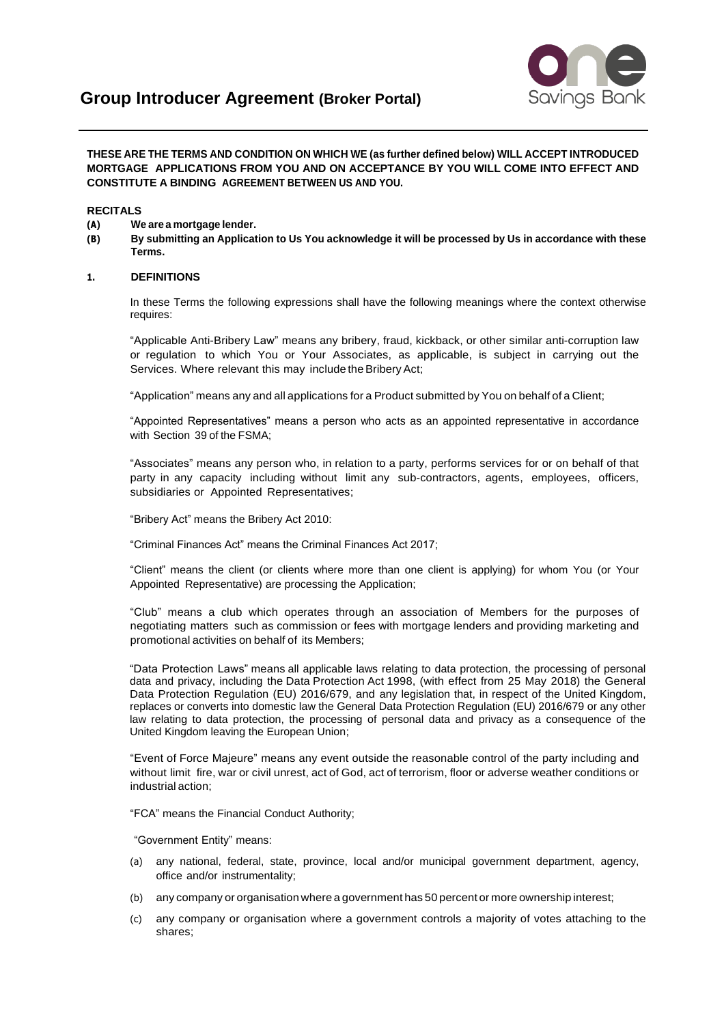

## **THESE ARE THE TERMS AND CONDITION ON WHICH WE (as further defined below) WILL ACCEPT INTRODUCED MORTGAGE APPLICATIONS FROM YOU AND ON ACCEPTANCE BY YOU WILL COME INTO EFFECT AND CONSTITUTE A BINDING AGREEMENT BETWEEN US AND YOU.**

## **RECITALS**

- **(A) We are a mortgage lender.**
- (B) By submitting an Application to Us You acknowledge it will be processed by Us in accordance with these **Terms.**

### **1. DEFINITIONS**

In these Terms the following expressions shall have the following meanings where the context otherwise requires:

"Applicable Anti-Bribery Law" means any bribery, fraud, kickback, or other similar anti-corruption law or regulation to which You or Your Associates, as applicable, is subject in carrying out the Services. Where relevant this may include the Bribery Act;

"Application" means any and all applications for a Product submitted by You on behalf of a Client;

"Appointed Representatives" means a person who acts as an appointed representative in accordance with Section 39 of the FSMA;

"Associates" means any person who, in relation to a party, performs services for or on behalf of that party in any capacity including without limit any sub-contractors, agents, employees, officers, subsidiaries or Appointed Representatives;

"Bribery Act" means the Bribery Act 2010:

"Criminal Finances Act" means the Criminal Finances Act 2017;

"Client" means the client (or clients where more than one client is applying) for whom You (or Your Appointed Representative) are processing the Application;

"Club" means a club which operates through an association of Members for the purposes of negotiating matters such as commission or fees with mortgage lenders and providing marketing and promotional activities on behalf of its Members;

"Data Protection Laws" means all applicable laws relating to data protection, the processing of personal data and privacy, including the Data Protection Act 1998, (with effect from 25 May 2018) the General Data Protection Regulation (EU) 2016/679, and any legislation that, in respect of the United Kingdom, replaces or converts into domestic law the General Data Protection Regulation (EU) 2016/679 or any other law relating to data protection, the processing of personal data and privacy as a consequence of the United Kingdom leaving the European Union;

"Event of Force Majeure" means any event outside the reasonable control of the party including and without limit fire, war or civil unrest, act of God, act of terrorism, floor or adverse weather conditions or industrial action;

"FCA" means the Financial Conduct Authority;

"Government Entity" means:

- (a) any national, federal, state, province, local and/or municipal government department, agency, office and/or instrumentality;
- (b) any company or organisation where a government has 50 percent or more ownership interest;
- (c) any company or organisation where a government controls a majority of votes attaching to the shares;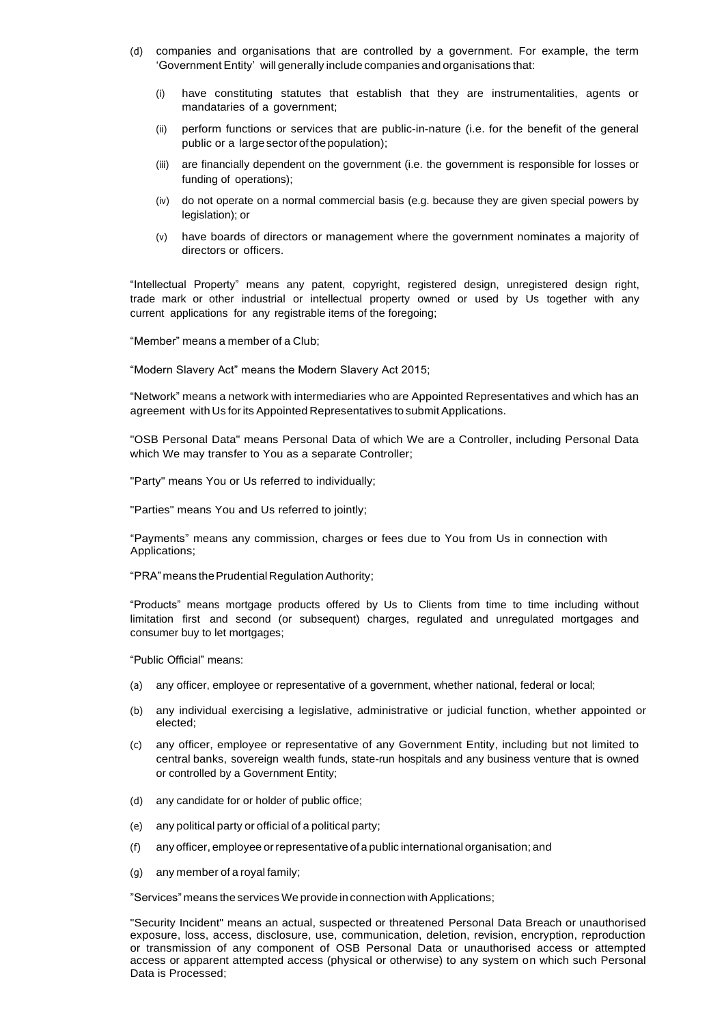- (d) companies and organisations that are controlled by a government. For example, the term 'Government Entity' will generally include companies and organisations that:
	- (i) have constituting statutes that establish that they are instrumentalities, agents or mandataries of a government;
	- (ii) perform functions or services that are public-in-nature (i.e. for the benefit of the general public or a large sector of the population);
	- (iii) are financially dependent on the government (i.e. the government is responsible for losses or funding of operations);
	- (iv) do not operate on a normal commercial basis (e.g. because they are given special powers by legislation); or
	- (v) have boards of directors or management where the government nominates a majority of directors or officers.

"Intellectual Property" means any patent, copyright, registered design, unregistered design right, trade mark or other industrial or intellectual property owned or used by Us together with any current applications for any registrable items of the foregoing;

"Member" means a member of a Club;

"Modern Slavery Act" means the Modern Slavery Act 2015;

"Network" means a network with intermediaries who are Appointed Representatives and which has an agreement with Us for its Appointed Representatives to submit Applications.

"OSB Personal Data" means Personal Data of which We are a Controller, including Personal Data which We may transfer to You as a separate Controller;

"Party" means You or Us referred to individually;

"Parties" means You and Us referred to jointly;

"Payments" means any commission, charges or fees due to You from Us in connection with Applications;

"PRA"means thePrudentialRegulationAuthority;

"Products" means mortgage products offered by Us to Clients from time to time including without limitation first and second (or subsequent) charges, regulated and unregulated mortgages and consumer buy to let mortgages;

"Public Official" means:

- (a) any officer, employee or representative of a government, whether national, federal or local;
- (b) any individual exercising a legislative, administrative or judicial function, whether appointed or elected;
- (c) any officer, employee or representative of any Government Entity, including but not limited to central banks, sovereign wealth funds, state-run hospitals and any business venture that is owned or controlled by a Government Entity;
- (d) any candidate for or holder of public office;
- (e) any political party or official of a political party;
- (f) any officer, employee orrepresentative ofa public international organisation; and
- (g) any member of a royal family;

"Services" means the services We provide in connection with Applications;

"Security Incident" means an actual, suspected or threatened Personal Data Breach or unauthorised exposure, loss, access, disclosure, use, communication, deletion, revision, encryption, reproduction or transmission of any component of OSB Personal Data or unauthorised access or attempted access or apparent attempted access (physical or otherwise) to any system on which such Personal Data is Processed;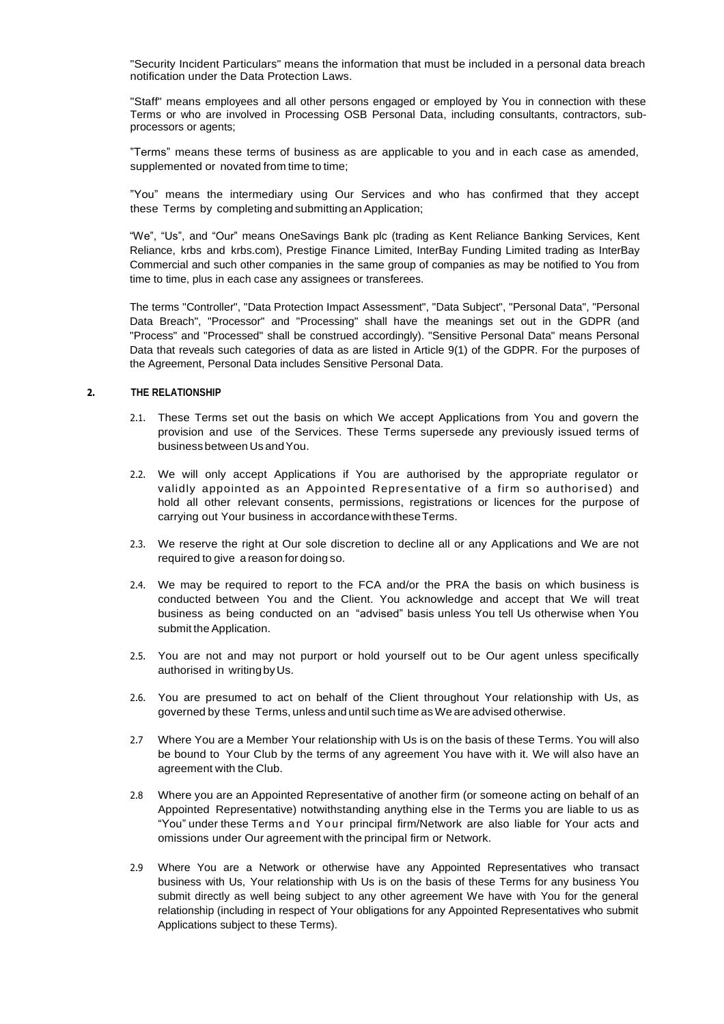"Security Incident Particulars" means the information that must be included in a personal data breach notification under the Data Protection Laws.

"Staff" means employees and all other persons engaged or employed by You in connection with these Terms or who are involved in Processing OSB Personal Data, including consultants, contractors, subprocessors or agents;

"Terms" means these terms of business as are applicable to you and in each case as amended, supplemented or novated from time to time;

"You" means the intermediary using Our Services and who has confirmed that they accept these Terms by completing and submitting an Application;

"We", "Us", and "Our" means OneSavings Bank plc (trading as Kent Reliance Banking Services, Kent Reliance, krbs and krbs.com), Prestige Finance Limited, InterBay Funding Limited trading as InterBay Commercial and such other companies in the same group of companies as may be notified to You from time to time, plus in each case any assignees or transferees.

The terms "Controller", "Data Protection Impact Assessment", "Data Subject", "Personal Data", "Personal Data Breach", "Processor" and "Processing" shall have the meanings set out in the GDPR (and "Process" and "Processed" shall be construed accordingly). "Sensitive Personal Data" means Personal Data that reveals such categories of data as are listed in Article 9(1) of the GDPR. For the purposes of the Agreement, Personal Data includes Sensitive Personal Data.

#### **2. THE RELATIONSHIP**

- 2.1. These Terms set out the basis on which We accept Applications from You and govern the provision and use of the Services. These Terms supersede any previously issued terms of business between Us andYou.
- 2.2. We will only accept Applications if You are authorised by the appropriate regulator or validly appointed as an Appointed Representative of a firm so authorised) and hold all other relevant consents, permissions, registrations or licences for the purpose of carrying out Your business in accordance with these Terms.
- 2.3. We reserve the right at Our sole discretion to decline all or any Applications and We are not required to give a reason for doing so.
- 2.4. We may be required to report to the FCA and/or the PRA the basis on which business is conducted between You and the Client. You acknowledge and accept that We will treat business as being conducted on an "advised" basis unless You tell Us otherwise when You submit the Application.
- 2.5. You are not and may not purport or hold yourself out to be Our agent unless specifically authorised in writingbyUs.
- 2.6. You are presumed to act on behalf of the Client throughout Your relationship with Us, as governed by these Terms, unless and until such time as We are advised otherwise.
- 2.7 Where You are a Member Your relationship with Us is on the basis of these Terms. You will also be bound to Your Club by the terms of any agreement You have with it. We will also have an agreement with the Club.
- 2.8 Where you are an Appointed Representative of another firm (or someone acting on behalf of an Appointed Representative) notwithstanding anything else in the Terms you are liable to us as "You" under these Terms and Your principal firm/Network are also liable for Your acts and omissions under Our agreement with the principal firm or Network.
- 2.9 Where You are a Network or otherwise have any Appointed Representatives who transact business with Us, Your relationship with Us is on the basis of these Terms for any business You submit directly as well being subject to any other agreement We have with You for the general relationship (including in respect of Your obligations for any Appointed Representatives who submit Applications subject to these Terms).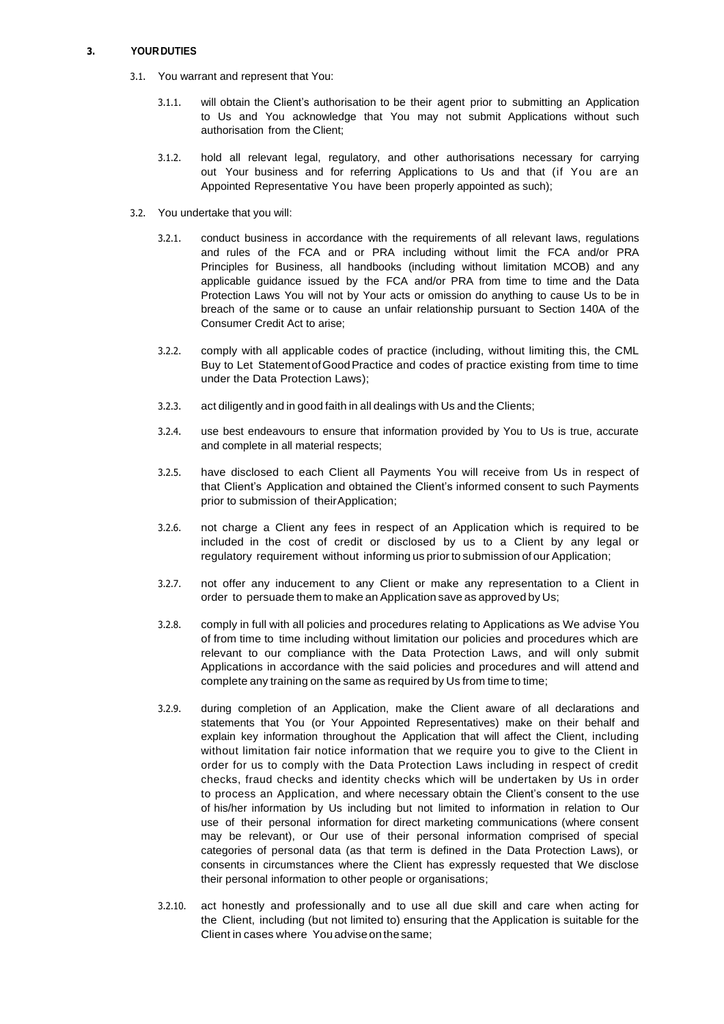#### **3. YOUR DUTIES**

- 3.1. You warrant and represent that You:
	- 3.1.1. will obtain the Client's authorisation to be their agent prior to submitting an Application to Us and You acknowledge that You may not submit Applications without such authorisation from the Client;
	- 3.1.2. hold all relevant legal, regulatory, and other authorisations necessary for carrying out Your business and for referring Applications to Us and that (if You are an Appointed Representative You have been properly appointed as such);
- <span id="page-3-0"></span>3.2. You undertake that you will:
	- 3.2.1. conduct business in accordance with the requirements of all relevant laws, regulations and rules of the FCA and or PRA including without limit the FCA and/or PRA Principles for Business, all handbooks (including without limitation MCOB) and any applicable guidance issued by the FCA and/or PRA from time to time and the Data Protection Laws You will not by Your acts or omission do anything to cause Us to be in breach of the same or to cause an unfair relationship pursuant to Section 140A of the Consumer Credit Act to arise;
	- 3.2.2. comply with all applicable codes of practice (including, without limiting this, the CML Buy to Let StatementofGoodPractice and codes of practice existing from time to time under the Data Protection Laws);
	- 3.2.3. act diligently and in good faith in all dealings with Us and the Clients;
	- 3.2.4. use best endeavours to ensure that information provided by You to Us is true, accurate and complete in all material respects;
	- 3.2.5. have disclosed to each Client all Payments You will receive from Us in respect of that Client's Application and obtained the Client's informed consent to such Payments prior to submission of their Application;
	- 3.2.6. not charge a Client any fees in respect of an Application which is required to be included in the cost of credit or disclosed by us to a Client by any legal or regulatory requirement without informing us prior to submission of our Application;
	- 3.2.7. not offer any inducement to any Client or make any representation to a Client in order to persuade them to make an Application save as approved by Us;
	- 3.2.8. comply in full with all policies and procedures relating to Applications as We advise You of from time to time including without limitation our policies and procedures which are relevant to our compliance with the Data Protection Laws, and will only submit Applications in accordance with the said policies and procedures and will attend and complete any training on the same as required by Us from time to time;
	- 3.2.9. during completion of an Application, make the Client aware of all declarations and statements that You (or Your Appointed Representatives) make on their behalf and explain key information throughout the Application that will affect the Client, including without limitation fair notice information that we require you to give to the Client in order for us to comply with the Data Protection Laws including in respect of credit checks, fraud checks and identity checks which will be undertaken by Us in order to process an Application, and where necessary obtain the Client's consent to the use of his/her information by Us including but not limited to information in relation to Our use of their personal information for direct marketing communications (where consent may be relevant), or Our use of their personal information comprised of special categories of personal data (as that term is defined in the Data Protection Laws), or consents in circumstances where the Client has expressly requested that We disclose their personal information to other people or organisations;
	- 3.2.10. act honestly and professionally and to use all due skill and care when acting for the Client, including (but not limited to) ensuring that the Application is suitable for the Client in cases where You advise on the same;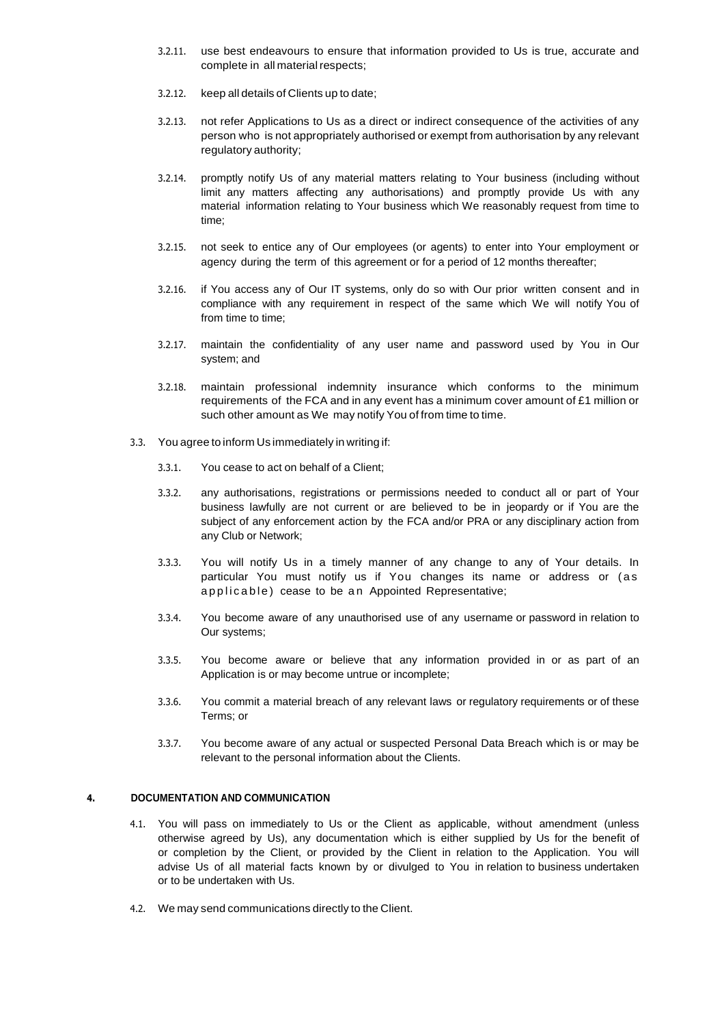- <span id="page-4-0"></span>3.2.11. use best endeavours to ensure that information provided to Us is true, accurate and complete in all material respects;
- <span id="page-4-1"></span>3.2.12. keep all details of Clients up to date;
- 3.2.13. not refer Applications to Us as a direct or indirect consequence of the activities of any person who is not appropriately authorised or exempt from authorisation by any relevant regulatory authority;
- 3.2.14. promptly notify Us of any material matters relating to Your business (including without limit any matters affecting any authorisations) and promptly provide Us with any material information relating to Your business which We reasonably request from time to time;
- 3.2.15. not seek to entice any of Our employees (or agents) to enter into Your employment or agency during the term of this agreement or for a period of 12 months thereafter;
- 3.2.16. if You access any of Our IT systems, only do so with Our prior written consent and in compliance with any requirement in respect of the same which We will notify You of from time to time;
- 3.2.17. maintain the confidentiality of any user name and password used by You in Our system; and
- 3.2.18. maintain professional indemnity insurance which conforms to the minimum requirements of the FCA and in any event has a minimum cover amount of £1 million or such other amount as We may notify You of from time to time.
- 3.3. You agree to inform Us immediately in writing if:
	- 3.3.1. You cease to act on behalf of a Client;
	- 3.3.2. any authorisations, registrations or permissions needed to conduct all or part of Your business lawfully are not current or are believed to be in jeopardy or if You are the subject of any enforcement action by the FCA and/or PRA or any disciplinary action from any Club or Network;
	- 3.3.3. You will notify Us in a timely manner of any change to any of Your details. In particular You must notify us if You changes its name or address or (as applicable) cease to be an Appointed Representative;
	- 3.3.4. You become aware of any unauthorised use of any username or password in relation to Our systems;
	- 3.3.5. You become aware or believe that any information provided in or as part of an Application is or may become untrue or incomplete;
	- 3.3.6. You commit a material breach of any relevant laws or regulatory requirements or of these Terms; or
	- 3.3.7. You become aware of any actual or suspected Personal Data Breach which is or may be relevant to the personal information about the Clients.

# **4. DOCUMENTATION AND COMMUNICATION**

- 4.1. You will pass on immediately to Us or the Client as applicable, without amendment (unless otherwise agreed by Us), any documentation which is either supplied by Us for the benefit of or completion by the Client, or provided by the Client in relation to the Application. You will advise Us of all material facts known by or divulged to You in relation to business undertaken or to be undertaken with Us.
- 4.2. We may send communications directly to the Client.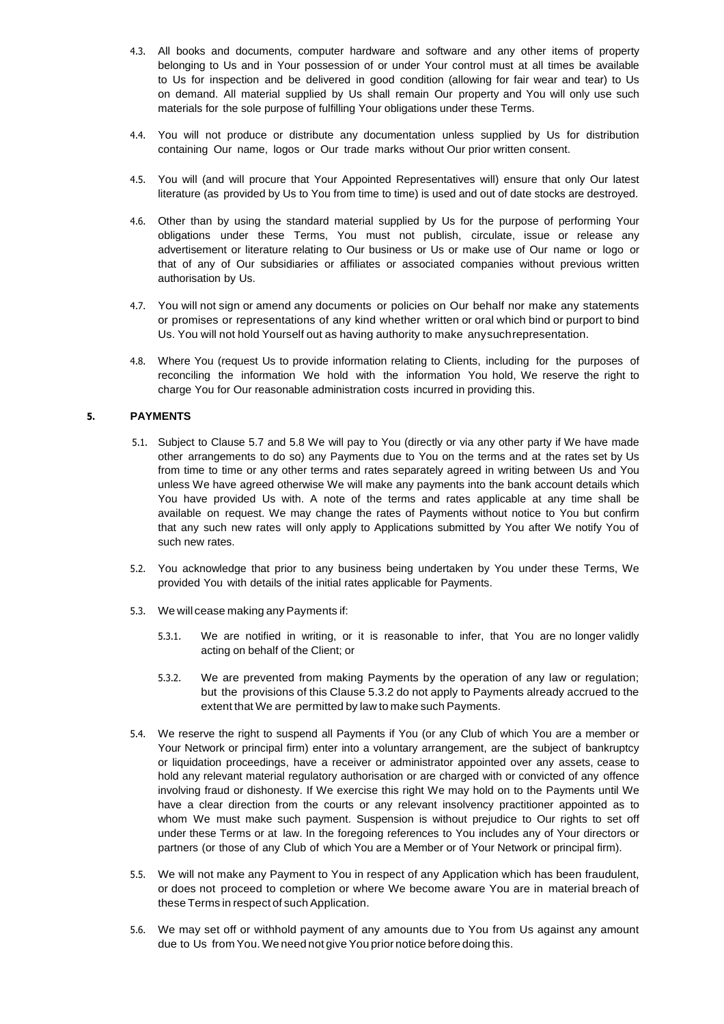- 4.3. All books and documents, computer hardware and software and any other items of property belonging to Us and in Your possession of or under Your control must at all times be available to Us for inspection and be delivered in good condition (allowing for fair wear and tear) to Us on demand. All material supplied by Us shall remain Our property and You will only use such materials for the sole purpose of fulfilling Your obligations under these Terms.
- 4.4. You will not produce or distribute any documentation unless supplied by Us for distribution containing Our name, logos or Our trade marks without Our prior written consent.
- 4.5. You will (and will procure that Your Appointed Representatives will) ensure that only Our latest literature (as provided by Us to You from time to time) is used and out of date stocks are destroyed.
- 4.6. Other than by using the standard material supplied by Us for the purpose of performing Your obligations under these Terms, You must not publish, circulate, issue or release any advertisement or literature relating to Our business or Us or make use of Our name or logo or that of any of Our subsidiaries or affiliates or associated companies without previous written authorisation by Us.
- 4.7. You will not sign or amend any documents or policies on Our behalf nor make any statements or promises or representations of any kind whether written or oral which bind or purport to bind Us. You will not hold Yourself out as having authority to make anysuchrepresentation.
- 4.8. Where You (request Us to provide information relating to Clients, including for the purposes of reconciling the information We hold with the information You hold, We reserve the right to charge You for Our reasonable administration costs incurred in providing this.

## **5. PAYMENTS**

- 5.1. Subject to Clause 5.7 and 5.8 We will pay to You (directly or via any other party if We have made other arrangements to do so) any Payments due to You on the terms and at the rates set by Us from time to time or any other terms and rates separately agreed in writing between Us and You unless We have agreed otherwise We will make any payments into the bank account details which You have provided Us with. A note of the terms and rates applicable at any time shall be available on request. We may change the rates of Payments without notice to You but confirm that any such new rates will only apply to Applications submitted by You after We notify You of such new rates.
- 5.2. You acknowledge that prior to any business being undertaken by You under these Terms, We provided You with details of the initial rates applicable for Payments.
- 5.3. We will cease making any Payments if:
	- 5.3.1. We are notified in writing, or it is reasonable to infer, that You are no longer validly acting on behalf of the Client; or
	- 5.3.2. We are prevented from making Payments by the operation of any law or regulation; but the provisions of this Clause 5.3.2 do not apply to Payments already accrued to the extent that We are permitted by law to make such Payments.
- 5.4. We reserve the right to suspend all Payments if You (or any Club of which You are a member or Your Network or principal firm) enter into a voluntary arrangement, are the subject of bankruptcy or liquidation proceedings, have a receiver or administrator appointed over any assets, cease to hold any relevant material regulatory authorisation or are charged with or convicted of any offence involving fraud or dishonesty. If We exercise this right We may hold on to the Payments until We have a clear direction from the courts or any relevant insolvency practitioner appointed as to whom We must make such payment. Suspension is without prejudice to Our rights to set off under these Terms or at law. In the foregoing references to You includes any of Your directors or partners (or those of any Club of which You are a Member or of Your Network or principal firm).
- 5.5. We will not make any Payment to You in respect of any Application which has been fraudulent, or does not proceed to completion or where We become aware You are in material breach of these Terms in respect of such Application.
- 5.6. We may set off or withhold payment of any amounts due to You from Us against any amount due to Us from You. We need not give You prior notice before doing this.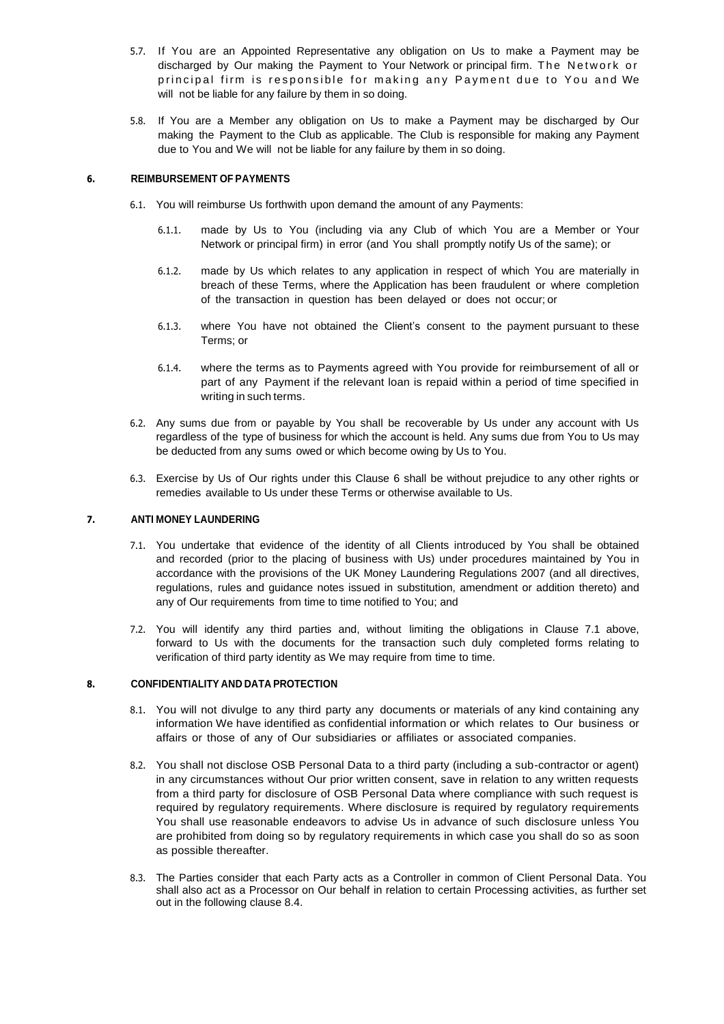- 5.7. If You are an Appointed Representative any obligation on Us to make a Payment may be discharged by Our making the Payment to Your Network or principal firm. The Network or principal firm is responsible for making any Payment due to You and We will not be liable for any failure by them in so doing.
- 5.8. If You are a Member any obligation on Us to make a Payment may be discharged by Our making the Payment to the Club as applicable. The Club is responsible for making any Payment due to You and We will not be liable for any failure by them in so doing.

### **6. REIMBURSEMENT OF PAYMENTS**

- 6.1. You will reimburse Us forthwith upon demand the amount of any Payments:
	- 6.1.1. made by Us to You (including via any Club of which You are a Member or Your Network or principal firm) in error (and You shall promptly notify Us of the same); or
	- 6.1.2. made by Us which relates to any application in respect of which You are materially in breach of these Terms, where the Application has been fraudulent or where completion of the transaction in question has been delayed or does not occur; or
	- 6.1.3. where You have not obtained the Client's consent to the payment pursuant to these Terms; or
	- 6.1.4. where the terms as to Payments agreed with You provide for reimbursement of all or part of any Payment if the relevant loan is repaid within a period of time specified in writing in such terms.
- 6.2. Any sums due from or payable by You shall be recoverable by Us under any account with Us regardless of the type of business for which the account is held. Any sums due from You to Us may be deducted from any sums owed or which become owing by Us to You.
- 6.3. Exercise by Us of Our rights under this Clause 6 shall be without prejudice to any other rights or remedies available to Us under these Terms or otherwise available to Us.

## **7. ANTI MONEY LAUNDERING**

- 7.1. You undertake that evidence of the identity of all Clients introduced by You shall be obtained and recorded (prior to the placing of business with Us) under procedures maintained by You in accordance with the provisions of the UK Money Laundering Regulations 2007 (and all directives, regulations, rules and guidance notes issued in substitution, amendment or addition thereto) and any of Our requirements from time to time notified to You; and
- 7.2. You will identify any third parties and, without limiting the obligations in Clause 7.1 above, forward to Us with the documents for the transaction such duly completed forms relating to verification of third party identity as We may require from time to time.

## <span id="page-6-0"></span>**8. CONFIDENTIALITY AND DATA PROTECTION**

- 8.1. You will not divulge to any third party any documents or materials of any kind containing any information We have identified as confidential information or which relates to Our business or affairs or those of any of Our subsidiaries or affiliates or associated companies.
- 8.2. You shall not disclose OSB Personal Data to a third party (including a sub-contractor or agent) in any circumstances without Our prior written consent, save in relation to any written requests from a third party for disclosure of OSB Personal Data where compliance with such request is required by regulatory requirements. Where disclosure is required by regulatory requirements You shall use reasonable endeavors to advise Us in advance of such disclosure unless You are prohibited from doing so by regulatory requirements in which case you shall do so as soon as possible thereafter.
- 8.3. The Parties consider that each Party acts as a Controller in common of Client Personal Data. You shall also act as a Processor on Our behalf in relation to certain Processing activities, as further set out in the following clause [8.4.](#page-7-0)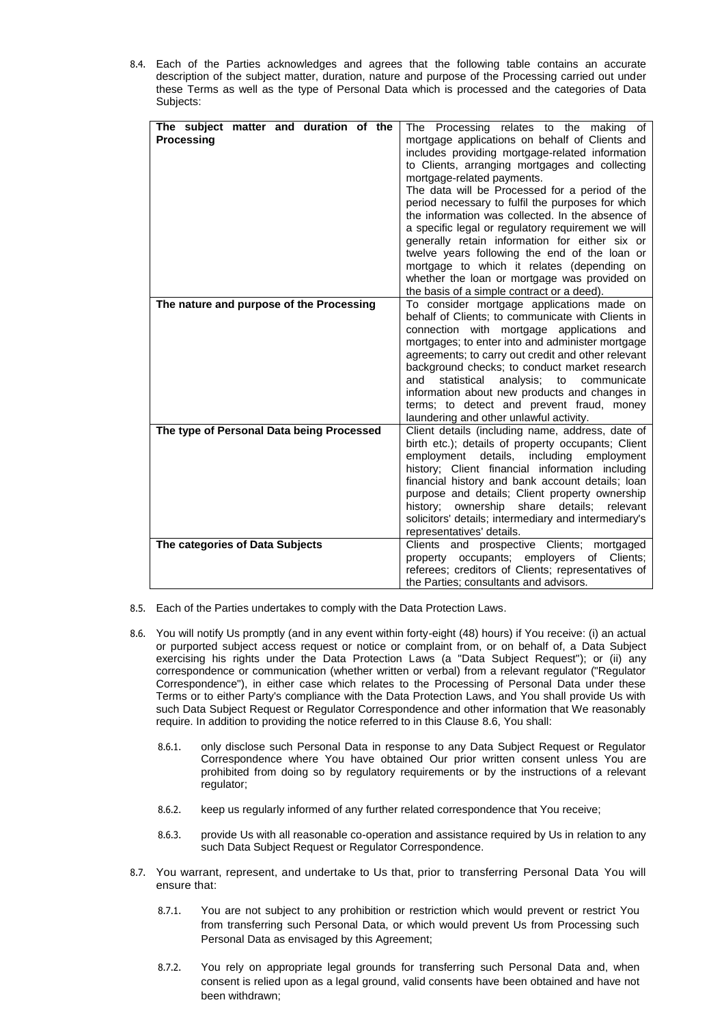<span id="page-7-0"></span>8.4. Each of the Parties acknowledges and agrees that the following table contains an accurate description of the subject matter, duration, nature and purpose of the Processing carried out under these Terms as well as the type of Personal Data which is processed and the categories of Data Subjects:

| The subject matter and duration of the<br>Processing | The Processing relates to the making of<br>mortgage applications on behalf of Clients and<br>includes providing mortgage-related information<br>to Clients, arranging mortgages and collecting<br>mortgage-related payments.<br>The data will be Processed for a period of the<br>period necessary to fulfil the purposes for which<br>the information was collected. In the absence of<br>a specific legal or regulatory requirement we will<br>generally retain information for either six or<br>twelve years following the end of the loan or<br>mortgage to which it relates (depending on<br>whether the loan or mortgage was provided on<br>the basis of a simple contract or a deed). |
|------------------------------------------------------|----------------------------------------------------------------------------------------------------------------------------------------------------------------------------------------------------------------------------------------------------------------------------------------------------------------------------------------------------------------------------------------------------------------------------------------------------------------------------------------------------------------------------------------------------------------------------------------------------------------------------------------------------------------------------------------------|
| The nature and purpose of the Processing             | To consider mortgage applications made on<br>behalf of Clients; to communicate with Clients in<br>connection with mortgage applications<br>and<br>mortgages; to enter into and administer mortgage<br>agreements; to carry out credit and other relevant<br>background checks; to conduct market research<br>and<br>statistical<br>analysis;<br>to<br>communicate<br>information about new products and changes in<br>terms; to detect and prevent fraud, money<br>laundering and other unlawful activity.                                                                                                                                                                                   |
| The type of Personal Data being Processed            | Client details (including name, address, date of<br>birth etc.); details of property occupants; Client<br>employment details, including employment<br>history; Client financial information including<br>financial history and bank account details; loan<br>purpose and details; Client property ownership<br>history; ownership share details;<br>relevant<br>solicitors' details; intermediary and intermediary's<br>representatives' details.                                                                                                                                                                                                                                            |
| The categories of Data Subjects                      | Clients and prospective Clients; mortgaged<br>property occupants; employers<br>of Clients;<br>referees; creditors of Clients; representatives of<br>the Parties: consultants and advisors.                                                                                                                                                                                                                                                                                                                                                                                                                                                                                                   |

- 8.5. Each of the Parties undertakes to comply with the Data Protection Laws.
- <span id="page-7-1"></span>8.6. You will notify Us promptly (and in any event within forty-eight (48) hours) if You receive: (i) an actual or purported subject access request or notice or complaint from, or on behalf of, a Data Subject exercising his rights under the Data Protection Laws (a "Data Subject Request"); or (ii) any correspondence or communication (whether written or verbal) from a relevant regulator ("Regulator Correspondence"), in either case which relates to the Processing of Personal Data under these Terms or to either Party's compliance with the Data Protection Laws, and You shall provide Us with such Data Subject Request or Regulator Correspondence and other information that We reasonably require. In addition to providing the notice referred to in this Clause [8.6,](#page-7-1) You shall:
	- 8.6.1. only disclose such Personal Data in response to any Data Subject Request or Regulator Correspondence where You have obtained Our prior written consent unless You are prohibited from doing so by regulatory requirements or by the instructions of a relevant regulator;
	- 8.6.2. keep us regularly informed of any further related correspondence that You receive;
	- 8.6.3. provide Us with all reasonable co-operation and assistance required by Us in relation to any such Data Subject Request or Regulator Correspondence.
- 8.7. You warrant, represent, and undertake to Us that, prior to transferring Personal Data You will ensure that:
	- 8.7.1. You are not subject to any prohibition or restriction which would prevent or restrict You from transferring such Personal Data, or which would prevent Us from Processing such Personal Data as envisaged by this Agreement;
	- 8.7.2. You rely on appropriate legal grounds for transferring such Personal Data and, when consent is relied upon as a legal ground, valid consents have been obtained and have not been withdrawn;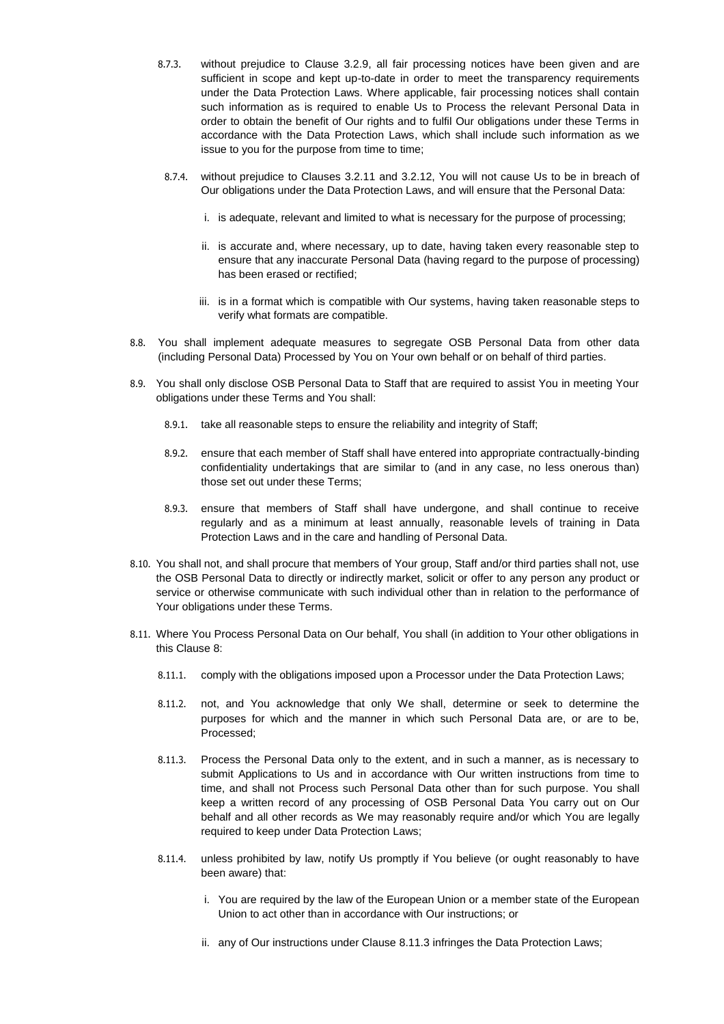- 8.7.3. without prejudice to Clause [3.2.9,](#page-3-0) all fair processing notices have been given and are sufficient in scope and kept up-to-date in order to meet the transparency requirements under the Data Protection Laws. Where applicable, fair processing notices shall contain such information as is required to enable Us to Process the relevant Personal Data in order to obtain the benefit of Our rights and to fulfil Our obligations under these Terms in accordance with the Data Protection Laws, which shall include such information as we issue to you for the purpose from time to time;
- 8.7.4. without prejudice to Clauses [3.2.11](#page-4-0) and [3.2.12,](#page-4-1) You will not cause Us to be in breach of Our obligations under the Data Protection Laws, and will ensure that the Personal Data:
	- i. is adequate, relevant and limited to what is necessary for the purpose of processing;
	- ii. is accurate and, where necessary, up to date, having taken every reasonable step to ensure that any inaccurate Personal Data (having regard to the purpose of processing) has been erased or rectified;
	- iii. is in a format which is compatible with Our systems, having taken reasonable steps to verify what formats are compatible.
- 8.8. You shall implement adequate measures to segregate OSB Personal Data from other data (including Personal Data) Processed by You on Your own behalf or on behalf of third parties.
- 8.9. You shall only disclose OSB Personal Data to Staff that are required to assist You in meeting Your obligations under these Terms and You shall:
	- 8.9.1. take all reasonable steps to ensure the reliability and integrity of Staff;
	- 8.9.2. ensure that each member of Staff shall have entered into appropriate contractually-binding confidentiality undertakings that are similar to (and in any case, no less onerous than) those set out under these Terms;
	- 8.9.3. ensure that members of Staff shall have undergone, and shall continue to receive regularly and as a minimum at least annually, reasonable levels of training in Data Protection Laws and in the care and handling of Personal Data.
- 8.10. You shall not, and shall procure that members of Your group, Staff and/or third parties shall not, use the OSB Personal Data to directly or indirectly market, solicit or offer to any person any product or service or otherwise communicate with such individual other than in relation to the performance of Your obligations under these Terms.
- <span id="page-8-0"></span>8.11. Where You Process Personal Data on Our behalf, You shall (in addition to Your other obligations in this Clause [8:](#page-6-0)
	- 8.11.1. comply with the obligations imposed upon a Processor under the Data Protection Laws;
	- 8.11.2. not, and You acknowledge that only We shall, determine or seek to determine the purposes for which and the manner in which such Personal Data are, or are to be, Processed;
	- 8.11.3. Process the Personal Data only to the extent, and in such a manner, as is necessary to submit Applications to Us and in accordance with Our written instructions from time to time, and shall not Process such Personal Data other than for such purpose. You shall keep a written record of any processing of OSB Personal Data You carry out on Our behalf and all other records as We may reasonably require and/or which You are legally required to keep under Data Protection Laws;
	- 8.11.4. unless prohibited by law, notify Us promptly if You believe (or ought reasonably to have been aware) that:
		- i. You are required by the law of the European Union or a member state of the European Union to act other than in accordance with Our instructions; or
		- ii. any of Our instructions under Clause [8.11.3](#page-8-0) infringes the Data Protection Laws;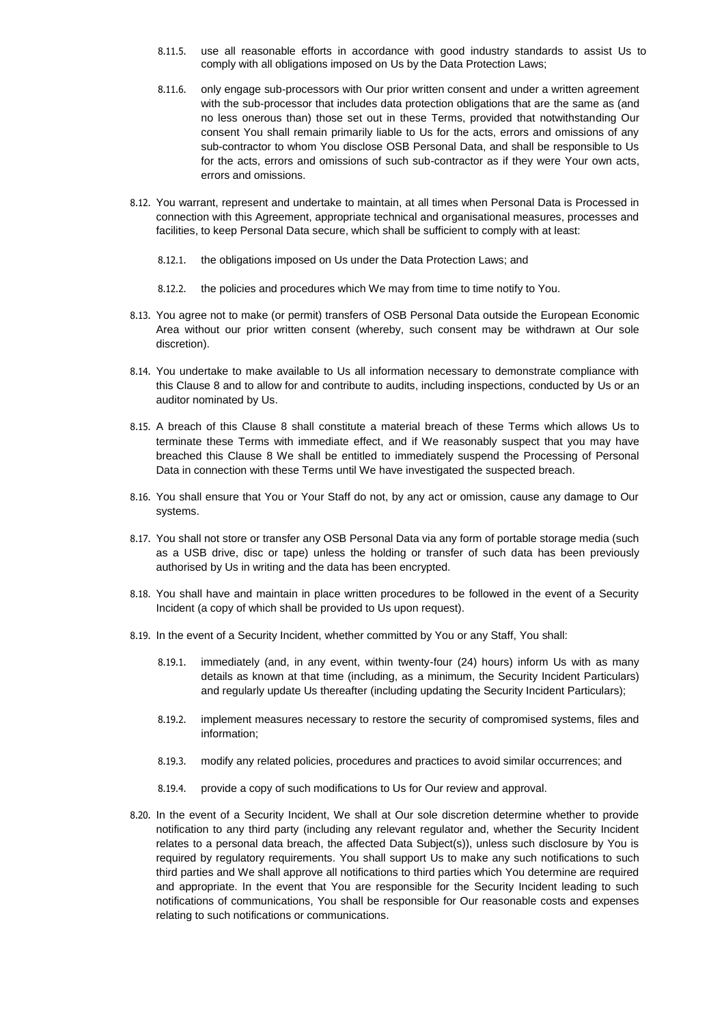- 8.11.5. use all reasonable efforts in accordance with good industry standards to assist Us to comply with all obligations imposed on Us by the Data Protection Laws;
- 8.11.6. only engage sub-processors with Our prior written consent and under a written agreement with the sub-processor that includes data protection obligations that are the same as (and no less onerous than) those set out in these Terms, provided that notwithstanding Our consent You shall remain primarily liable to Us for the acts, errors and omissions of any sub-contractor to whom You disclose OSB Personal Data, and shall be responsible to Us for the acts, errors and omissions of such sub-contractor as if they were Your own acts, errors and omissions.
- 8.12. You warrant, represent and undertake to maintain, at all times when Personal Data is Processed in connection with this Agreement, appropriate technical and organisational measures, processes and facilities, to keep Personal Data secure, which shall be sufficient to comply with at least:
	- 8.12.1. the obligations imposed on Us under the Data Protection Laws; and
	- 8.12.2. the policies and procedures which We may from time to time notify to You.
- 8.13. You agree not to make (or permit) transfers of OSB Personal Data outside the European Economic Area without our prior written consent (whereby, such consent may be withdrawn at Our sole discretion).
- 8.14. You undertake to make available to Us all information necessary to demonstrate compliance with this Clause [8](#page-6-0) and to allow for and contribute to audits, including inspections, conducted by Us or an auditor nominated by Us.
- 8.15. A breach of this Clause [8](#page-6-0) shall constitute a material breach of these Terms which allows Us to terminate these Terms with immediate effect, and if We reasonably suspect that you may have breached this Clause [8](#page-6-0) We shall be entitled to immediately suspend the Processing of Personal Data in connection with these Terms until We have investigated the suspected breach.
- 8.16. You shall ensure that You or Your Staff do not, by any act or omission, cause any damage to Our systems.
- 8.17. You shall not store or transfer any OSB Personal Data via any form of portable storage media (such as a USB drive, disc or tape) unless the holding or transfer of such data has been previously authorised by Us in writing and the data has been encrypted.
- 8.18. You shall have and maintain in place written procedures to be followed in the event of a Security Incident (a copy of which shall be provided to Us upon request).
- 8.19. In the event of a Security Incident, whether committed by You or any Staff, You shall:
	- 8.19.1. immediately (and, in any event, within twenty-four (24) hours) inform Us with as many details as known at that time (including, as a minimum, the Security Incident Particulars) and regularly update Us thereafter (including updating the Security Incident Particulars);
	- 8.19.2. implement measures necessary to restore the security of compromised systems, files and information;
	- 8.19.3. modify any related policies, procedures and practices to avoid similar occurrences; and
	- 8.19.4. provide a copy of such modifications to Us for Our review and approval.
- 8.20. In the event of a Security Incident, We shall at Our sole discretion determine whether to provide notification to any third party (including any relevant regulator and, whether the Security Incident relates to a personal data breach, the affected Data Subject(s)), unless such disclosure by You is required by regulatory requirements. You shall support Us to make any such notifications to such third parties and We shall approve all notifications to third parties which You determine are required and appropriate. In the event that You are responsible for the Security Incident leading to such notifications of communications, You shall be responsible for Our reasonable costs and expenses relating to such notifications or communications.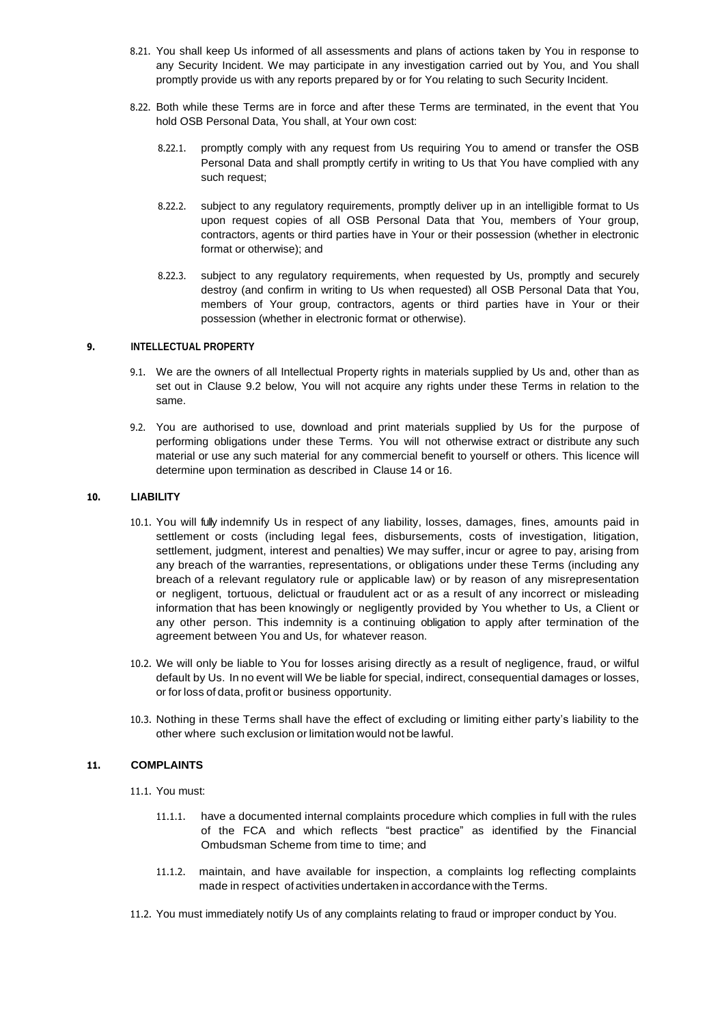- 8.21. You shall keep Us informed of all assessments and plans of actions taken by You in response to any Security Incident. We may participate in any investigation carried out by You, and You shall promptly provide us with any reports prepared by or for You relating to such Security Incident.
- 8.22. Both while these Terms are in force and after these Terms are terminated, in the event that You hold OSB Personal Data, You shall, at Your own cost:
	- 8.22.1. promptly comply with any request from Us requiring You to amend or transfer the OSB Personal Data and shall promptly certify in writing to Us that You have complied with any such request;
	- 8.22.2. subject to any regulatory requirements, promptly deliver up in an intelligible format to Us upon request copies of all OSB Personal Data that You, members of Your group, contractors, agents or third parties have in Your or their possession (whether in electronic format or otherwise); and
	- 8.22.3. subject to any regulatory requirements, when requested by Us, promptly and securely destroy (and confirm in writing to Us when requested) all OSB Personal Data that You, members of Your group, contractors, agents or third parties have in Your or their possession (whether in electronic format or otherwise).

### **9. INTELLECTUAL PROPERTY**

- 9.1. We are the owners of all Intellectual Property rights in materials supplied by Us and, other than as set out in Clause 9.2 below, You will not acquire any rights under these Terms in relation to the same.
- 9.2. You are authorised to use, download and print materials supplied by Us for the purpose of performing obligations under these Terms. You will not otherwise extract or distribute any such material or use any such material for any commercial benefit to yourself or others. This licence will determine upon termination as described in Clause 14 or 16.

## **10. LIABILITY**

- 10.1. You will fully indemnify Us in respect of any liability, losses, damages, fines, amounts paid in settlement or costs (including legal fees, disbursements, costs of investigation, litigation, settlement, judgment, interest and penalties) We may suffer, incur or agree to pay, arising from any breach of the warranties, representations, or obligations under these Terms (including any breach of a relevant regulatory rule or applicable law) or by reason of any misrepresentation or negligent, tortuous, delictual or fraudulent act or as a result of any incorrect or misleading information that has been knowingly or negligently provided by You whether to Us, a Client or any other person. This indemnity is a continuing obligation to apply after termination of the agreement between You and Us, for whatever reason.
- 10.2. We will only be liable to You for losses arising directly as a result of negligence, fraud, or wilful default by Us. In no event will We be liable for special, indirect, consequential damages or losses, or for loss of data, profit or business opportunity.
- 10.3. Nothing in these Terms shall have the effect of excluding or limiting either party's liability to the other where such exclusion or limitation would not be lawful.

## **11. COMPLAINTS**

- 11.1. You must:
	- 11.1.1. have a documented internal complaints procedure which complies in full with the rules of the FCA and which reflects "best practice" as identified by the Financial Ombudsman Scheme from time to time; and
	- 11.1.2. maintain, and have available for inspection, a complaints log reflecting complaints made in respect of activities undertaken in accordance with the Terms.
- 11.2. You must immediately notify Us of any complaints relating to fraud or improper conduct by You.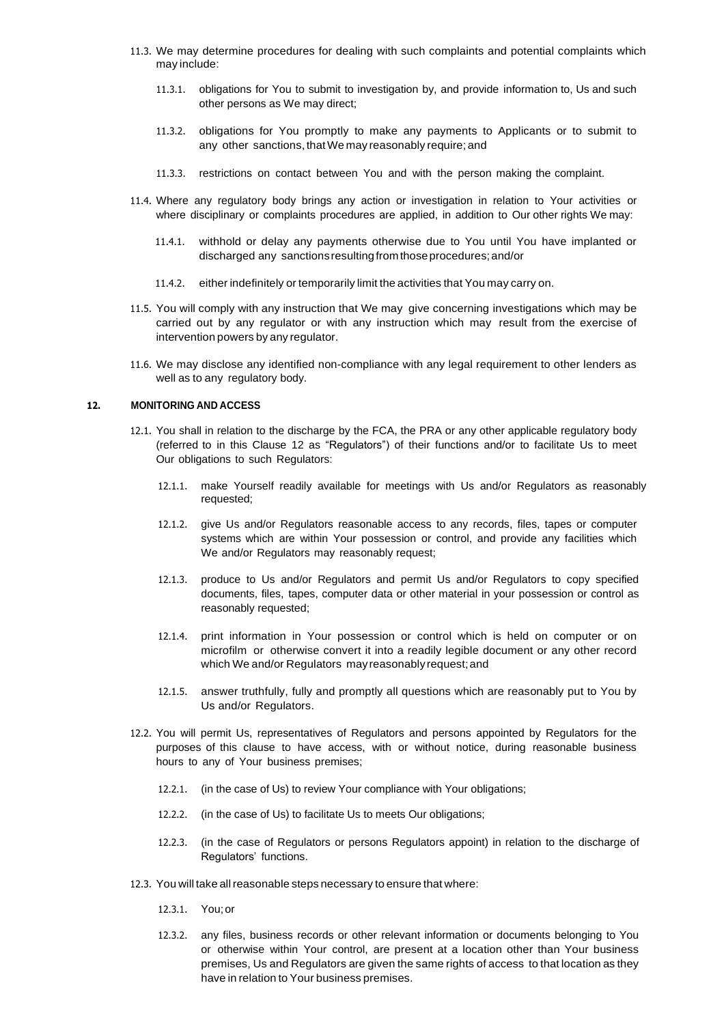- 11.3. We may determine procedures for dealing with such complaints and potential complaints which may include:
	- 11.3.1. obligations for You to submit to investigation by, and provide information to, Us and such other persons as We may direct;
	- 11.3.2. obligations for You promptly to make any payments to Applicants or to submit to any other sanctions, thatWe may reasonably require; and
	- 11.3.3. restrictions on contact between You and with the person making the complaint.
- 11.4. Where any regulatory body brings any action or investigation in relation to Your activities or where disciplinary or complaints procedures are applied, in addition to Our other rights We may:
	- 11.4.1. withhold or delay any payments otherwise due to You until You have implanted or discharged any sanctionsresultingfromthoseprocedures;and/or
	- 11.4.2. either indefinitely or temporarily limit the activities that You may carry on.
- 11.5. You will comply with any instruction that We may give concerning investigations which may be carried out by any regulator or with any instruction which may result from the exercise of intervention powers by any regulator.
- 11.6. We may disclose any identified non-compliance with any legal requirement to other lenders as well as to any regulatory body.

#### **12. MONITORING AND ACCESS**

- 12.1. You shall in relation to the discharge by the FCA, the PRA or any other applicable regulatory body (referred to in this Clause 12 as "Regulators") of their functions and/or to facilitate Us to meet Our obligations to such Regulators:
	- 12.1.1. make Yourself readily available for meetings with Us and/or Regulators as reasonably requested;
	- 12.1.2. give Us and/or Regulators reasonable access to any records, files, tapes or computer systems which are within Your possession or control, and provide any facilities which We and/or Regulators may reasonably request;
	- 12.1.3. produce to Us and/or Regulators and permit Us and/or Regulators to copy specified documents, files, tapes, computer data or other material in your possession or control as reasonably requested;
	- 12.1.4. print information in Your possession or control which is held on computer or on microfilm or otherwise convert it into a readily legible document or any other record which We and/or Regulators mayreasonably request;and
	- 12.1.5. answer truthfully, fully and promptly all questions which are reasonably put to You by Us and/or Regulators.
- 12.2. You will permit Us, representatives of Regulators and persons appointed by Regulators for the purposes of this clause to have access, with or without notice, during reasonable business hours to any of Your business premises;
	- 12.2.1. (in the case of Us) to review Your compliance with Your obligations;
	- 12.2.2. (in the case of Us) to facilitate Us to meets Our obligations;
	- 12.2.3. (in the case of Regulators or persons Regulators appoint) in relation to the discharge of Regulators' functions.
- 12.3. You will take all reasonable steps necessary to ensure that where:
	- 12.3.1. You;or
	- 12.3.2. any files, business records or other relevant information or documents belonging to You or otherwise within Your control, are present at a location other than Your business premises, Us and Regulators are given the same rights of access to that location as they have in relation to Your business premises.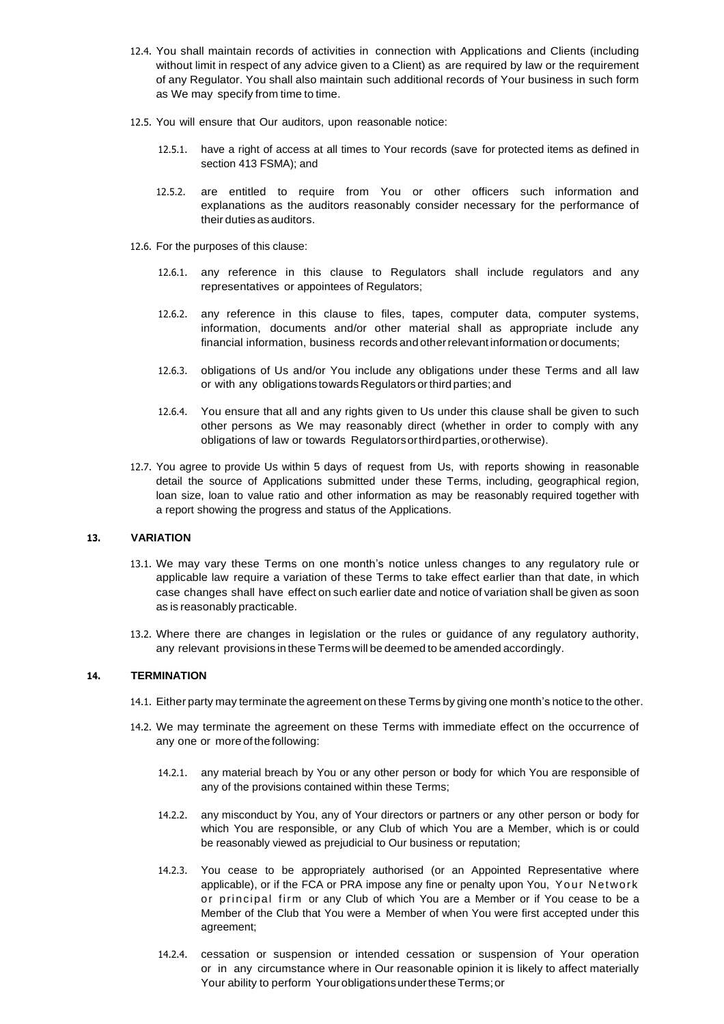- 12.4. You shall maintain records of activities in connection with Applications and Clients (including without limit in respect of any advice given to a Client) as are required by law or the requirement of any Regulator. You shall also maintain such additional records of Your business in such form as We may specify from time to time.
- 12.5. You will ensure that Our auditors, upon reasonable notice:
	- 12.5.1. have a right of access at all times to Your records (save for protected items as defined in section 413 FSMA); and
	- 12.5.2. are entitled to require from You or other officers such information and explanations as the auditors reasonably consider necessary for the performance of their duties as auditors.
- 12.6. For the purposes of this clause:
	- 12.6.1. any reference in this clause to Regulators shall include regulators and any representatives or appointees of Regulators;
	- 12.6.2. any reference in this clause to files, tapes, computer data, computer systems, information, documents and/or other material shall as appropriate include any financial information, business records and otherrelevant information or documents;
	- 12.6.3. obligations of Us and/or You include any obligations under these Terms and all law or with any obligations towards Regulators orthird parties; and
	- 12.6.4. You ensure that all and any rights given to Us under this clause shall be given to such other persons as We may reasonably direct (whether in order to comply with any obligations of law or towards Regulatorsorthirdparties,orotherwise).
- 12.7. You agree to provide Us within 5 days of request from Us, with reports showing in reasonable detail the source of Applications submitted under these Terms, including, geographical region, loan size, loan to value ratio and other information as may be reasonably required together with a report showing the progress and status of the Applications.

## **13. VARIATION**

- 13.1. We may vary these Terms on one month's notice unless changes to any regulatory rule or applicable law require a variation of these Terms to take effect earlier than that date, in which case changes shall have effect on such earlier date and notice of variation shall be given as soon as is reasonably practicable.
- 13.2. Where there are changes in legislation or the rules or guidance of any regulatory authority, any relevant provisions in these Terms will be deemed to be amended accordingly.

## **14. TERMINATION**

- 14.1. Either party may terminate the agreement on these Terms by giving one month's notice to the other.
- 14.2. We may terminate the agreement on these Terms with immediate effect on the occurrence of any one or more of the following:
	- 14.2.1. any material breach by You or any other person or body for which You are responsible of any of the provisions contained within these Terms;
	- 14.2.2. any misconduct by You, any of Your directors or partners or any other person or body for which You are responsible, or any Club of which You are a Member, which is or could be reasonably viewed as prejudicial to Our business or reputation;
	- 14.2.3. You cease to be appropriately authorised (or an Appointed Representative where applicable), or if the FCA or PRA impose any fine or penalty upon You, Your Network or principal firm or any Club of which You are a Member or if You cease to be a Member of the Club that You were a Member of when You were first accepted under this agreement;
	- 14.2.4. cessation or suspension or intended cessation or suspension of Your operation or in any circumstance where in Our reasonable opinion it is likely to affect materially Your ability to perform Your obligations under these Terms; or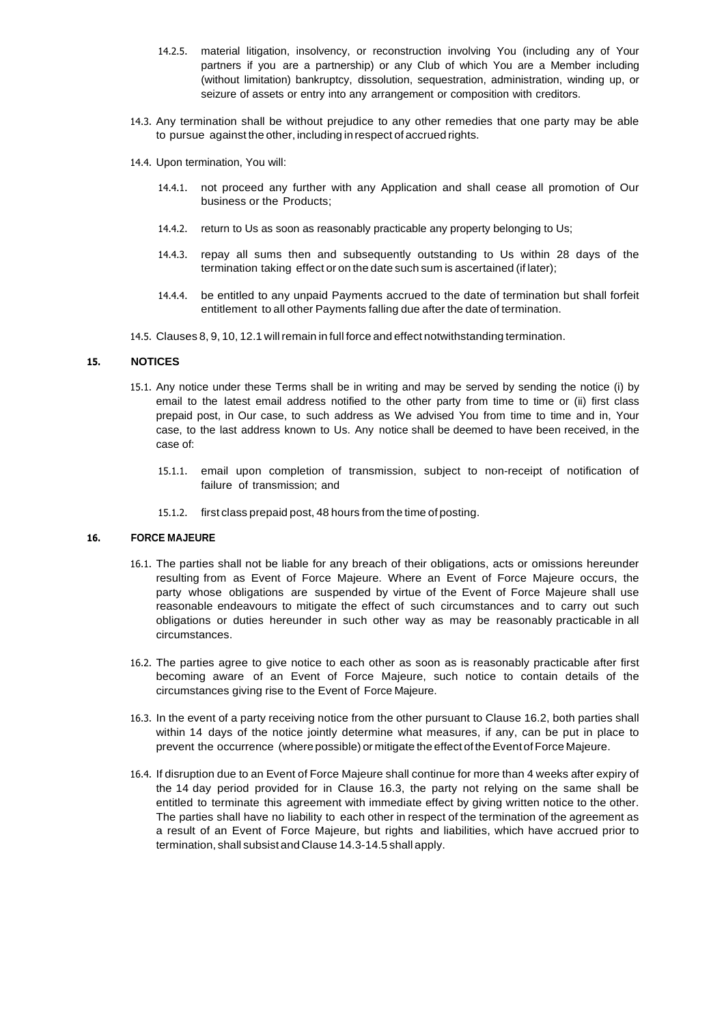- 14.2.5. material litigation, insolvency, or reconstruction involving You (including any of Your partners if you are a partnership) or any Club of which You are a Member including (without limitation) bankruptcy, dissolution, sequestration, administration, winding up, or seizure of assets or entry into any arrangement or composition with creditors.
- 14.3. Any termination shall be without prejudice to any other remedies that one party may be able to pursue against the other, including in respect of accrued rights.
- 14.4. Upon termination, You will:
	- 14.4.1. not proceed any further with any Application and shall cease all promotion of Our business or the Products;
	- 14.4.2. return to Us as soon as reasonably practicable any property belonging to Us;
	- 14.4.3. repay all sums then and subsequently outstanding to Us within 28 days of the termination taking effect or on the date such sum is ascertained (if later);
	- 14.4.4. be entitled to any unpaid Payments accrued to the date of termination but shall forfeit entitlement to all other Payments falling due after the date of termination.
- 14.5. Clauses 8, 9, 10, 12.1 willremain in full force and effect notwithstanding termination.

#### **15. NOTICES**

- 15.1. Any notice under these Terms shall be in writing and may be served by sending the notice (i) by email to the latest email address notified to the other party from time to time or (ii) first class prepaid post, in Our case, to such address as We advised You from time to time and in, Your case, to the last address known to Us. Any notice shall be deemed to have been received, in the case of:
	- 15.1.1. email upon completion of transmission, subject to non-receipt of notification of failure of transmission; and
	- 15.1.2. first class prepaid post, 48 hours from the time of posting.

#### **16. FORCE MAJEURE**

- 16.1. The parties shall not be liable for any breach of their obligations, acts or omissions hereunder resulting from as Event of Force Majeure. Where an Event of Force Majeure occurs, the party whose obligations are suspended by virtue of the Event of Force Majeure shall use reasonable endeavours to mitigate the effect of such circumstances and to carry out such obligations or duties hereunder in such other way as may be reasonably practicable in all circumstances.
- 16.2. The parties agree to give notice to each other as soon as is reasonably practicable after first becoming aware of an Event of Force Majeure, such notice to contain details of the circumstances giving rise to the Event of Force Majeure.
- 16.3. In the event of a party receiving notice from the other pursuant to Clause 16.2, both parties shall within 14 days of the notice jointly determine what measures, if any, can be put in place to prevent the occurrence (where possible) or mitigate the effect of the Event of Force Majeure.
- 16.4. If disruption due to an Event of Force Majeure shall continue for more than 4 weeks after expiry of the 14 day period provided for in Clause 16.3, the party not relying on the same shall be entitled to terminate this agreement with immediate effect by giving written notice to the other. The parties shall have no liability to each other in respect of the termination of the agreement as a result of an Event of Force Majeure, but rights and liabilities, which have accrued prior to termination, shall subsist and Clause 14.3-14.5 shall apply.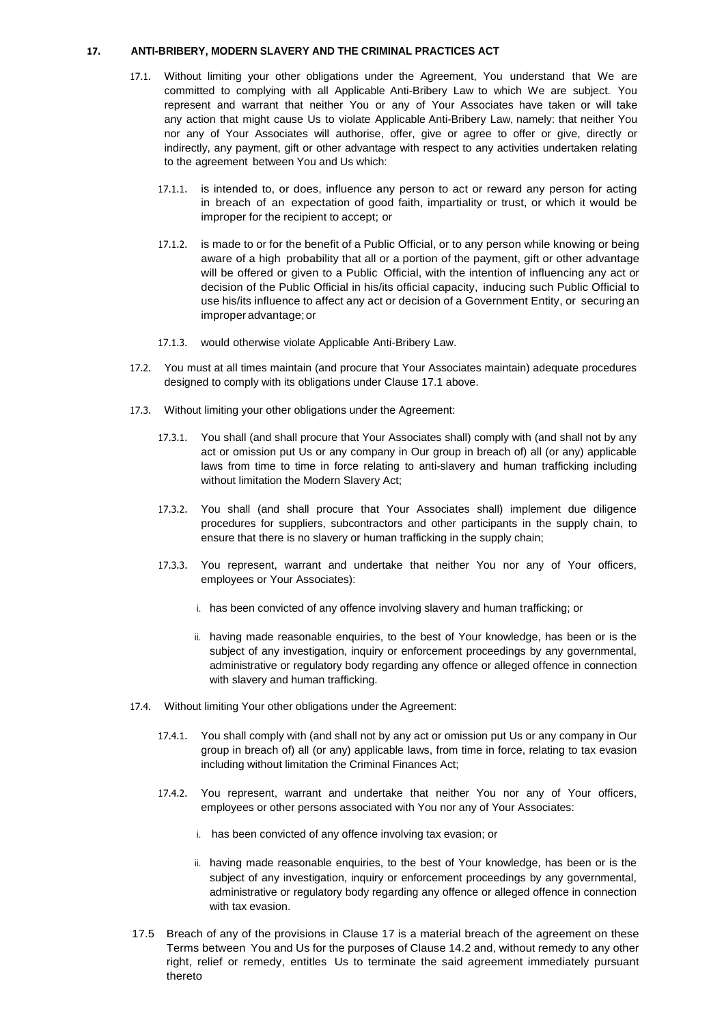#### **17. ANTI-BRIBERY, MODERN SLAVERY AND THE CRIMINAL PRACTICES ACT**

- 17.1. Without limiting your other obligations under the Agreement, You understand that We are committed to complying with all Applicable Anti-Bribery Law to which We are subject. You represent and warrant that neither You or any of Your Associates have taken or will take any action that might cause Us to violate Applicable Anti-Bribery Law, namely: that neither You nor any of Your Associates will authorise, offer, give or agree to offer or give, directly or indirectly, any payment, gift or other advantage with respect to any activities undertaken relating to the agreement between You and Us which:
	- 17.1.1. is intended to, or does, influence any person to act or reward any person for acting in breach of an expectation of good faith, impartiality or trust, or which it would be improper for the recipient to accept; or
	- 17.1.2. is made to or for the benefit of a Public Official, or to any person while knowing or being aware of a high probability that all or a portion of the payment, gift or other advantage will be offered or given to a Public Official, with the intention of influencing any act or decision of the Public Official in his/its official capacity, inducing such Public Official to use his/its influence to affect any act or decision of a Government Entity, or securing an improper advantage;or
	- 17.1.3. would otherwise violate Applicable Anti-Bribery Law.
- 17.2. You must at all times maintain (and procure that Your Associates maintain) adequate procedures designed to comply with its obligations under Clause 17.1 above.
- 17.3. Without limiting your other obligations under the Agreement:
	- 17.3.1. You shall (and shall procure that Your Associates shall) comply with (and shall not by any act or omission put Us or any company in Our group in breach of) all (or any) applicable laws from time to time in force relating to anti-slavery and human trafficking including without limitation the Modern Slavery Act;
	- 17.3.2. You shall (and shall procure that Your Associates shall) implement due diligence procedures for suppliers, subcontractors and other participants in the supply chain, to ensure that there is no slavery or human trafficking in the supply chain;
	- 17.3.3. You represent, warrant and undertake that neither You nor any of Your officers, employees or Your Associates):
		- i. has been convicted of any offence involving slavery and human trafficking; or
		- ii. having made reasonable enquiries, to the best of Your knowledge, has been or is the subject of any investigation, inquiry or enforcement proceedings by any governmental, administrative or regulatory body regarding any offence or alleged offence in connection with slavery and human trafficking.
- 17.4. Without limiting Your other obligations under the Agreement:
	- 17.4.1. You shall comply with (and shall not by any act or omission put Us or any company in Our group in breach of) all (or any) applicable laws, from time in force, relating to tax evasion including without limitation the Criminal Finances Act;
	- 17.4.2. You represent, warrant and undertake that neither You nor any of Your officers, employees or other persons associated with You nor any of Your Associates:
		- i. has been convicted of any offence involving tax evasion; or
		- ii. having made reasonable enquiries, to the best of Your knowledge, has been or is the subject of any investigation, inquiry or enforcement proceedings by any governmental, administrative or regulatory body regarding any offence or alleged offence in connection with tax evasion.
- 17.5 Breach of any of the provisions in Clause 17 is a material breach of the agreement on these Terms between You and Us for the purposes of Clause 14.2 and, without remedy to any other right, relief or remedy, entitles Us to terminate the said agreement immediately pursuant thereto